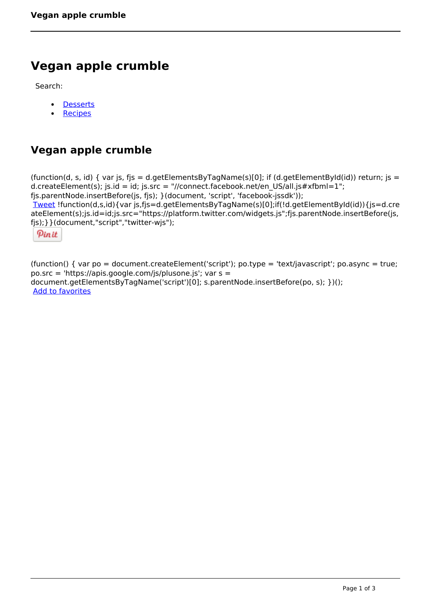## **Vegan apple crumble**

Search:

- **[Desserts](https://www.naturalhealthmag.com.au/nourish/desserts)**  $\bullet$
- **[Recipes](https://www.naturalhealthmag.com.au/nourish/recipes)**

## **Vegan apple crumble**

(function(d, s, id) { var js, fjs = d.getElementsByTagName(s)[0]; if (d.getElementById(id)) return; js = d.createElement(s); js.id = id; js.src = "//connect.facebook.net/en\_US/all.js#xfbml=1"; fjs.parentNode.insertBefore(js, fjs); }(document, 'script', 'facebook-jssdk')); [Tweet](https://twitter.com/share) !function(d,s,id){var js,fjs=d.getElementsByTagName(s)[0];if(!d.getElementById(id)){js=d.cre ateElement(s);js.id=id;js.src="https://platform.twitter.com/widgets.js";fjs.parentNode.insertBefore(js, fjs);}}(document,"script","twitter-wjs");

Pinit

(function() { var po = document.createElement('script'); po.type = 'text/javascript'; po.async = true; po.src = 'https://apis.google.com/js/plusone.js'; var s = document.getElementsByTagName('script')[0]; s.parentNode.insertBefore(po, s); })(); Add to favorites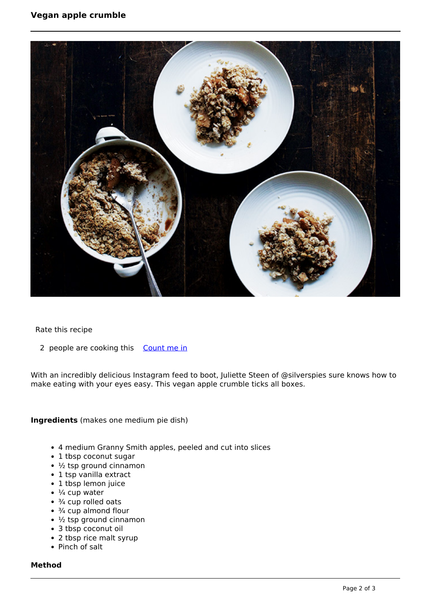

Rate this recipe

2 people are cooking this [Count me in](https://www.naturalhealthmag.com.au/flag/flag/favorites/2131?destination=printpdf%2F2131&token=5bb4110d2120c02517665eebc78f9cbd)

With an incredibly delicious Instagram feed to boot, Juliette Steen of @silverspies sure knows how to make eating with your eyes easy. This vegan apple crumble ticks all boxes.

**Ingredients** (makes one medium pie dish)

- 4 medium Granny Smith apples, peeled and cut into slices
- 1 tbsp coconut sugar
- $\cdot$  ½ tsp ground cinnamon
- 1 tsp vanilla extract
- 1 tbsp lemon juice
- $\bullet$   $\frac{1}{4}$  cup water
- $\cdot$   $\frac{3}{4}$  cup rolled oats
- $\cdot$   $\frac{3}{4}$  cup almond flour
- $\cdot$   $\frac{1}{2}$  tsp ground cinnamon
- 3 tbsp coconut oil
- 2 tbsp rice malt syrup
- Pinch of salt

## **Method**